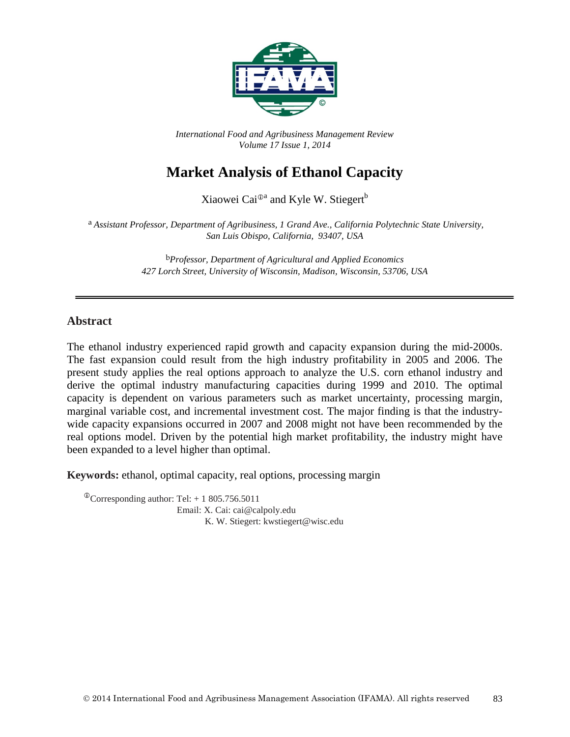

*International Food and Agribusiness Management Review Volume 17 Issue 1, 2014*

# **Market Analysis of Ethanol Capacity**

Xiaowei Cai<sup> $\mathbb{D}^a$ </sup> and Kyle W. Stiegert<sup>b</sup>

a *Assistant Professor, Department of Agribusiness, 1 Grand Ave., California Polytechnic State University, San Luis Obispo, California, 93407, USA*

> b*Professor, Department of Agricultural and Applied Economics 427 Lorch Street, University of Wisconsin, Madison, Wisconsin, 53706, USA*

#### **Abstract**

The ethanol industry experienced rapid growth and capacity expansion during the mid-2000s. The fast expansion could result from the high industry profitability in 2005 and 2006. The present study applies the real options approach to analyze the U.S. corn ethanol industry and derive the optimal industry manufacturing capacities during 1999 and 2010. The optimal capacity is dependent on various parameters such as market uncertainty, processing margin, marginal variable cost, and incremental investment cost. The major finding is that the industrywide capacity expansions occurred in 2007 and 2008 might not have been recommended by the real options model. Driven by the potential high market profitability, the industry might have been expanded to a level higher than optimal.

**Keywords:** ethanol, optimal capacity, real options, processing margin

 $^{\circ}$ Corresponding author: Tel: + 1 805.756.5011 Email: X. Cai: cai@calpoly.edu K. W. Stiegert: kwstiegert@wisc.edu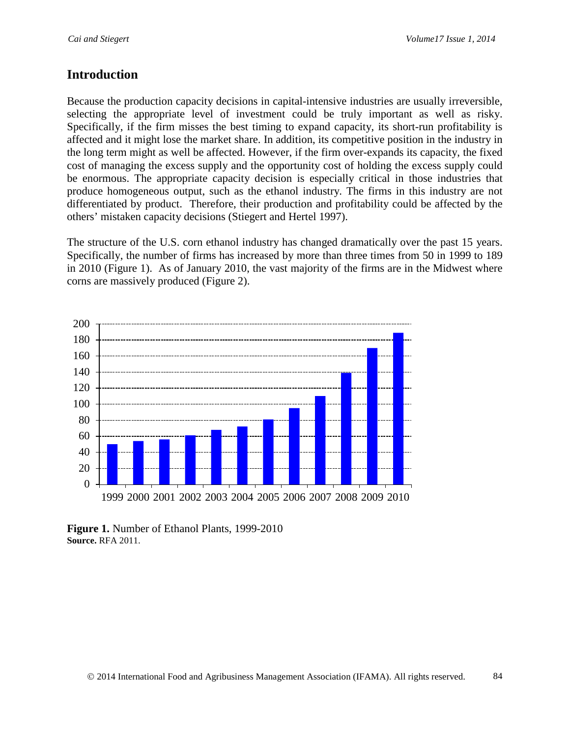#### **Introduction**

Because the production capacity decisions in capital-intensive industries are usually irreversible, selecting the appropriate level of investment could be truly important as well as risky. Specifically, if the firm misses the best timing to expand capacity, its short-run profitability is affected and it might lose the market share. In addition, its competitive position in the industry in the long term might as well be affected. However, if the firm over-expands its capacity, the fixed cost of managing the excess supply and the opportunity cost of holding the excess supply could be enormous. The appropriate capacity decision is especially critical in those industries that produce homogeneous output, such as the ethanol industry. The firms in this industry are not differentiated by product. Therefore, their production and profitability could be affected by the others' mistaken capacity decisions (Stiegert and Hertel 1997).

The structure of the U.S. corn ethanol industry has changed dramatically over the past 15 years. Specifically, the number of firms has increased by more than three times from 50 in 1999 to 189 in 2010 (Figure 1). As of January 2010, the vast majority of the firms are in the Midwest where corns are massively produced (Figure 2).



**Figure 1.** Number of Ethanol Plants, 1999-2010 **Source.** RFA 2011.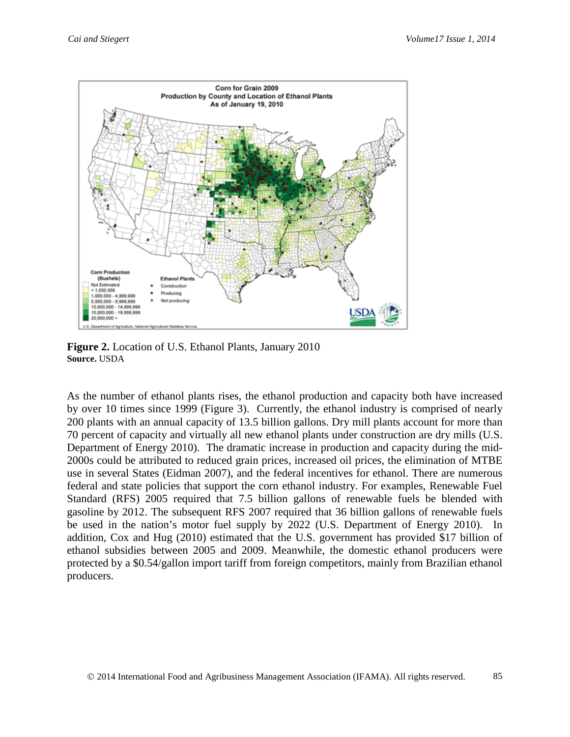

**Figure 2.** Location of U.S. Ethanol Plants, January 2010 **Source.** USDA

As the number of ethanol plants rises, the ethanol production and capacity both have increased by over 10 times since 1999 (Figure 3). Currently, the ethanol industry is comprised of nearly 200 plants with an annual capacity of 13.5 billion gallons. Dry mill plants account for more than 70 percent of capacity and virtually all new ethanol plants under construction are dry mills (U.S. Department of Energy 2010). The dramatic increase in production and capacity during the mid-2000s could be attributed to reduced grain prices, increased oil prices, the elimination of MTBE use in several States (Eidman 2007), and the federal incentives for ethanol. There are numerous federal and state policies that support the corn ethanol industry. For examples, Renewable Fuel Standard (RFS) 2005 required that 7.5 billion gallons of renewable fuels be blended with gasoline by 2012. The subsequent RFS 2007 required that 36 billion gallons of renewable fuels be used in the nation's motor fuel supply by 2022 (U.S. Department of Energy 2010). In addition, Cox and Hug (2010) estimated that the U.S. government has provided \$17 billion of ethanol subsidies between 2005 and 2009. Meanwhile, the domestic ethanol producers were protected by a \$0.54/gallon import tariff from foreign competitors, mainly from Brazilian ethanol producers.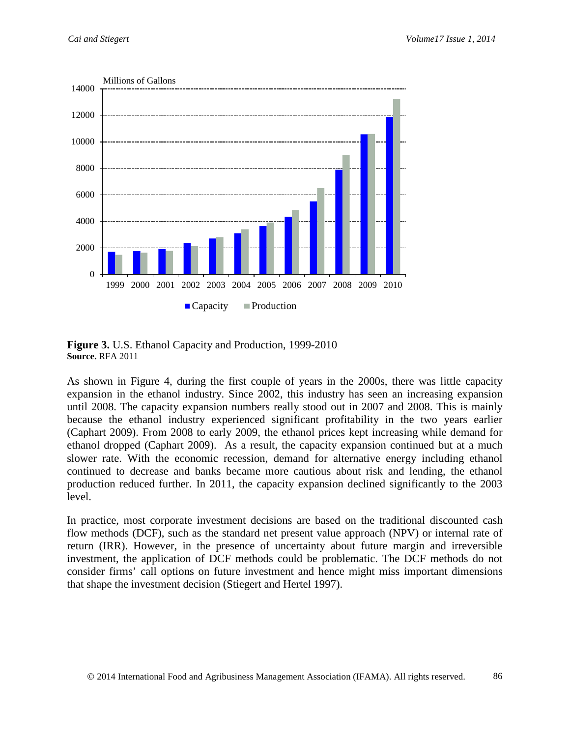

**Figure 3.** U.S. Ethanol Capacity and Production, 1999-2010 **Source.** RFA 2011

As shown in Figure 4, during the first couple of years in the 2000s, there was little capacity expansion in the ethanol industry. Since 2002, this industry has seen an increasing expansion until 2008. The capacity expansion numbers really stood out in 2007 and 2008. This is mainly because the ethanol industry experienced significant profitability in the two years earlier (Caphart 2009). From 2008 to early 2009, the ethanol prices kept increasing while demand for ethanol dropped (Caphart 2009). As a result, the capacity expansion continued but at a much slower rate. With the economic recession, demand for alternative energy including ethanol continued to decrease and banks became more cautious about risk and lending, the ethanol production reduced further. In 2011, the capacity expansion declined significantly to the 2003 level.

In practice, most corporate investment decisions are based on the traditional discounted cash flow methods (DCF), such as the standard net present value approach (NPV) or internal rate of return (IRR). However, in the presence of uncertainty about future margin and irreversible investment, the application of DCF methods could be problematic. The DCF methods do not consider firms' call options on future investment and hence might miss important dimensions that shape the investment decision (Stiegert and Hertel 1997).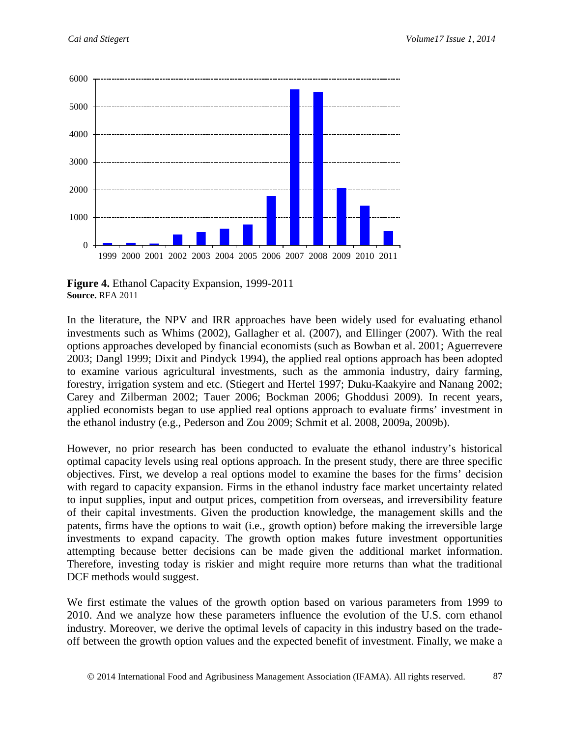

**Figure 4.** Ethanol Capacity Expansion, 1999-2011 **Source.** RFA 2011

In the literature, the NPV and IRR approaches have been widely used for evaluating ethanol investments such as Whims (2002), Gallagher et al. (2007), and Ellinger (2007). With the real options approaches developed by financial economists (such as Bowban et al. 2001; Aguerrevere 2003; Dangl 1999; Dixit and Pindyck 1994), the applied real options approach has been adopted to examine various agricultural investments, such as the ammonia industry, dairy farming, forestry, irrigation system and etc. (Stiegert and Hertel 1997; Duku-Kaakyire and Nanang 2002; Carey and Zilberman 2002; Tauer 2006; Bockman 2006; Ghoddusi 2009). In recent years, applied economists began to use applied real options approach to evaluate firms' investment in the ethanol industry (e.g., Pederson and Zou 2009; Schmit et al. 2008, 2009a, 2009b).

However, no prior research has been conducted to evaluate the ethanol industry's historical optimal capacity levels using real options approach. In the present study, there are three specific objectives. First, we develop a real options model to examine the bases for the firms' decision with regard to capacity expansion. Firms in the ethanol industry face market uncertainty related to input supplies, input and output prices, competition from overseas, and irreversibility feature of their capital investments. Given the production knowledge, the management skills and the patents, firms have the options to wait (i.e., growth option) before making the irreversible large investments to expand capacity. The growth option makes future investment opportunities attempting because better decisions can be made given the additional market information. Therefore, investing today is riskier and might require more returns than what the traditional DCF methods would suggest.

We first estimate the values of the growth option based on various parameters from 1999 to 2010. And we analyze how these parameters influence the evolution of the U.S. corn ethanol industry. Moreover, we derive the optimal levels of capacity in this industry based on the tradeoff between the growth option values and the expected benefit of investment. Finally, we make a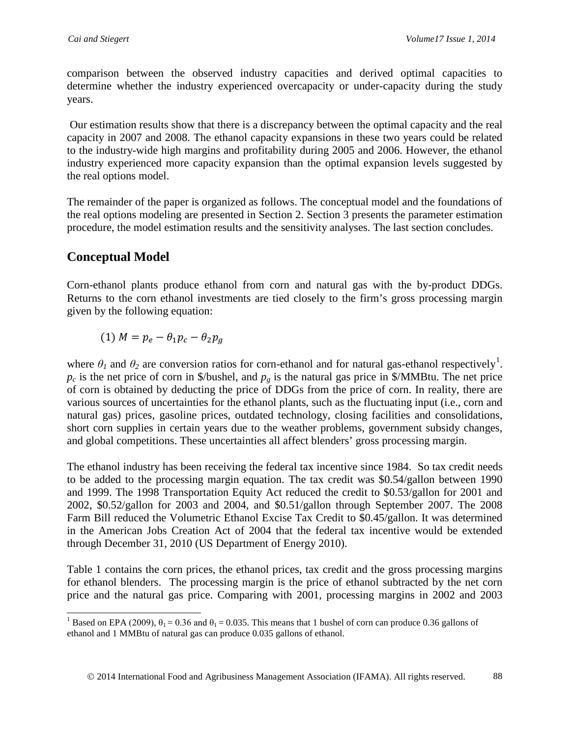comparison between the observed industry capacities and derived optimal capacities to determine whether the industry experienced overcapacity or under-capacity during the study years.

Our estimation results show that there is a discrepancy between the optimal capacity and the real capacity in 2007 and 2008. The ethanol capacity expansions in these two years could be related to the industry-wide high margins and profitability during 2005 and 2006. However, the ethanol industry experienced more capacity expansion than the optimal expansion levels suggested by the real options model.

The remainder of the paper is organized as follows. The conceptual model and the foundations of the real options modeling are presented in Section 2. Section 3 presents the parameter estimation procedure, the model estimation results and the sensitivity analyses. The last section concludes.

# **Conceptual Model**

Corn-ethanol plants produce ethanol from corn and natural gas with the by-product DDGs. Returns to the corn ethanol investments are tied closely to the firm's gross processing margin given by the following equation:

$$
(1) M = p_e - \theta_1 p_c - \theta_2 p_g
$$

where  $\theta_I$  and  $\theta_2$  are conversion ratios for corn-ethanol and for natural gas-ethanol respectively<sup>[1](#page-5-0)</sup>.  $p_c$  is the net price of corn in \$/bushel, and  $p_g$  is the natural gas price in \$/MMBtu. The net price of corn is obtained by deducting the price of DDGs from the price of corn. In reality, there are various sources of uncertainties for the ethanol plants, such as the fluctuating input (i.e., corn and natural gas) prices, gasoline prices, outdated technology, closing facilities and consolidations, short corn supplies in certain years due to the weather problems, government subsidy changes, and global competitions. These uncertainties all affect blenders' gross processing margin.

The ethanol industry has been receiving the federal tax incentive since 1984. So tax credit needs to be added to the processing margin equation. The tax credit was \$0.54/gallon between 1990 and 1999. The 1998 Transportation Equity Act reduced the credit to \$0.53/gallon for 2001 and 2002, \$0.52/gallon for 2003 and 2004, and \$0.51/gallon through September 2007. The 2008 Farm Bill reduced the Volumetric Ethanol Excise Tax Credit to \$0.45/gallon. It was determined in the American Jobs Creation Act of 2004 that the federal tax incentive would be extended through December 31, 2010 (US Department of Energy 2010).

Table 1 contains the corn prices, the ethanol prices, tax credit and the gross processing margins for ethanol blenders. The processing margin is the price of ethanol subtracted by the net corn price and the natural gas price. Comparing with 2001, processing margins in 2002 and 2003

<span id="page-5-0"></span><sup>&</sup>lt;sup>1</sup> Based on EPA (2009),  $\theta_1 = 0.36$  and  $\theta_1 = 0.035$ . This means that 1 bushel of corn can produce 0.36 gallons of ethanol and 1 MMBtu of natural gas can produce 0.035 gallons of ethanol.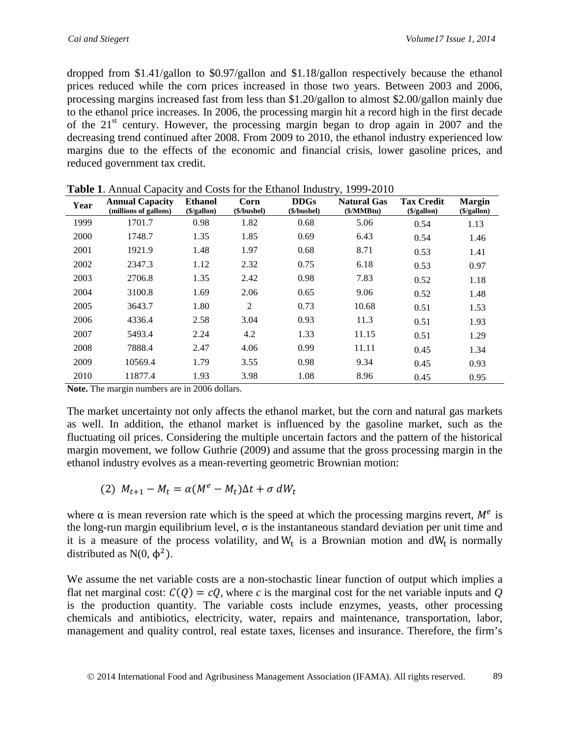dropped from \$1.41/gallon to \$0.97/gallon and \$1.18/gallon respectively because the ethanol prices reduced while the corn prices increased in those two years. Between 2003 and 2006, processing margins increased fast from less than \$1.20/gallon to almost \$2.00/gallon mainly due to the ethanol price increases. In 2006, the processing margin hit a record high in the first decade of the  $21<sup>st</sup>$  century. However, the processing margin began to drop again in 2007 and the decreasing trend continued after 2008. From 2009 to 2010, the ethanol industry experienced low margins due to the effects of the [economic and financial crisis,](http://en.wikipedia.org/wiki/Economic_crisis_of_2008) lower [gasoline prices,](http://en.wikipedia.org/wiki/Gasoline_price) and reduced government tax credit.

| Year | <b>Annual Capacity</b><br>(millions of gallons) | <b>Ethanol</b><br>$(\$/gallon)$ | Corn<br>(\$/bushel) | <b>DDGs</b><br>(\$/bushel) | <b>Natural Gas</b><br>$(\frac{S}{MMBtu})$ | <b>Tax Credit</b><br>$(\$/gallon)$ | <b>Margin</b><br>$(\$$ /gallon) |
|------|-------------------------------------------------|---------------------------------|---------------------|----------------------------|-------------------------------------------|------------------------------------|---------------------------------|
| 1999 | 1701.7                                          | 0.98                            | 1.82                | 0.68                       | 5.06                                      | 0.54                               | 1.13                            |
| 2000 | 1748.7                                          | 1.35                            | 1.85                | 0.69                       | 6.43                                      | 0.54                               | 1.46                            |
| 2001 | 1921.9                                          | 1.48                            | 1.97                | 0.68                       | 8.71                                      | 0.53                               | 1.41                            |
| 2002 | 2347.3                                          | 1.12                            | 2.32                | 0.75                       | 6.18                                      | 0.53                               | 0.97                            |
| 2003 | 2706.8                                          | 1.35                            | 2.42                | 0.98                       | 7.83                                      | 0.52                               | 1.18                            |
| 2004 | 3100.8                                          | 1.69                            | 2.06                | 0.65                       | 9.06                                      | 0.52                               | 1.48                            |
| 2005 | 3643.7                                          | 1.80                            | 2                   | 0.73                       | 10.68                                     | 0.51                               | 1.53                            |
| 2006 | 4336.4                                          | 2.58                            | 3.04                | 0.93                       | 11.3                                      | 0.51                               | 1.93                            |
| 2007 | 5493.4                                          | 2.24                            | 4.2                 | 1.33                       | 11.15                                     | 0.51                               | 1.29                            |
| 2008 | 7888.4                                          | 2.47                            | 4.06                | 0.99                       | 11.11                                     | 0.45                               | 1.34                            |
| 2009 | 10569.4                                         | 1.79                            | 3.55                | 0.98                       | 9.34                                      | 0.45                               | 0.93                            |
| 2010 | 11877.4                                         | 1.93                            | 3.98                | 1.08                       | 8.96                                      | 0.45                               | 0.95                            |

**Table 1**. Annual Capacity and Costs for the Ethanol Industry, 1999-2010

**Note.** The margin numbers are in 2006 dollars.

The market uncertainty not only affects the ethanol market, but the corn and natural gas markets as well. In addition, the ethanol market is influenced by the gasoline market, such as the fluctuating oil prices. Considering the multiple uncertain factors and the pattern of the historical margin movement, we follow Guthrie (2009) and assume that the gross processing margin in the ethanol industry evolves as a mean-reverting geometric Brownian motion:

$$
(2) M_{t+1} - M_t = \alpha (M^e - M_t) \Delta t + \sigma dW_t
$$

where  $\alpha$  is mean reversion rate which is the speed at which the processing margins revert,  $M<sup>e</sup>$  is the long-run margin equilibrium level,  $\sigma$  is the instantaneous standard deviation per unit time and it is a measure of the process volatility, and  $W_t$  is a Brownian motion and  $dW_t$  is normally distributed as  $N(0, \phi^2)$ .

We assume the net variable costs are a non-stochastic linear function of output which implies a flat net marginal cost:  $C(Q) = cQ$ , where c is the marginal cost for the net variable inputs and Q is the production quantity. The variable costs include enzymes, yeasts, other processing chemicals and antibiotics, electricity, water, repairs and maintenance, transportation, labor, management and quality control, real estate taxes, licenses and insurance. Therefore, the firm's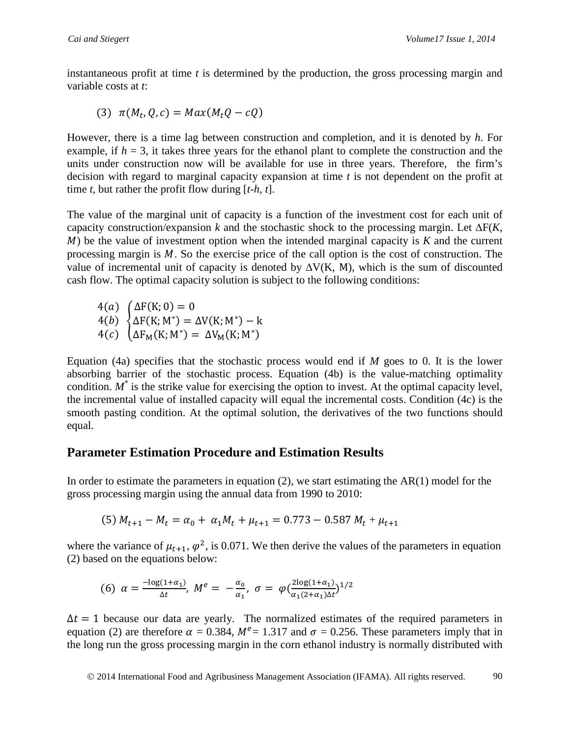instantaneous profit at time *t* is determined by the production, the gross processing margin and variable costs at *t*:

$$
(3) \ \pi(M_t,Q,c)= Max(M_tQ-cQ)
$$

However, there is a time lag between construction and completion, and it is denoted by *h*. For example, if  $h = 3$ , it takes three years for the ethanol plant to complete the construction and the units under construction now will be available for use in three years. Therefore, the firm's decision with regard to marginal capacity expansion at time *t* is not dependent on the profit at time *t*, but rather the profit flow during [*t-h, t*].

The value of the marginal unit of capacity is a function of the investment cost for each unit of capacity construction/expansion *k* and the stochastic shock to the processing margin. Let ∆F(*K*, ) be the value of investment option when the intended marginal capacity is *K* and the current processing margin is  $M$ . So the exercise price of the call option is the cost of construction. The value of incremental unit of capacity is denoted by ∆V(K, M), which is the sum of discounted cash flow. The optimal capacity solution is subject to the following conditions:

 $4(a)$  $4(b)$  $4(c)$  $\big\{$  $\Delta$ F(K; 0) = 0  $\Delta F(K; M^*) = \Delta V(K; M^*) - k$  $\Delta F_M(K; M^*) = \Delta V_M(K; M^*)$ 

Equation (4a) specifies that the stochastic process would end if *M* goes to 0. It is the lower absorbing barrier of the stochastic process. Equation (4b) is the value-matching optimality condition.  $M^*$  is the strike value for exercising the option to invest. At the optimal capacity level, the incremental value of installed capacity will equal the incremental costs. Condition (4c) is the smooth pasting condition. At the optimal solution, the derivatives of the two functions should equal.

### **Parameter Estimation Procedure and Estimation Results**

In order to estimate the parameters in equation  $(2)$ , we start estimating the AR $(1)$  model for the gross processing margin using the annual data from 1990 to 2010:

(5) 
$$
M_{t+1} - M_t = \alpha_0 + \alpha_1 M_t + \mu_{t+1} = 0.773 - 0.587 M_t + \mu_{t+1}
$$

where the variance of  $\mu_{t+1}$ ,  $\varphi^2$ , is 0.071. We then derive the values of the parameters in equation (2) based on the equations below:

(6) 
$$
\alpha = \frac{-\log(1+\alpha_1)}{\Delta t}, \ M^e = -\frac{\alpha_0}{\alpha_1}, \ \sigma = \varphi \left(\frac{2\log(1+\alpha_1)}{\alpha_1(2+\alpha_1)\Delta t}\right)^{1/2}
$$

 $\Delta t = 1$  because our data are yearly. The normalized estimates of the required parameters in equation (2) are therefore  $\alpha = 0.384$ ,  $M^e = 1.317$  and  $\sigma = 0.256$ . These parameters imply that in the long run the gross processing margin in the corn ethanol industry is normally distributed with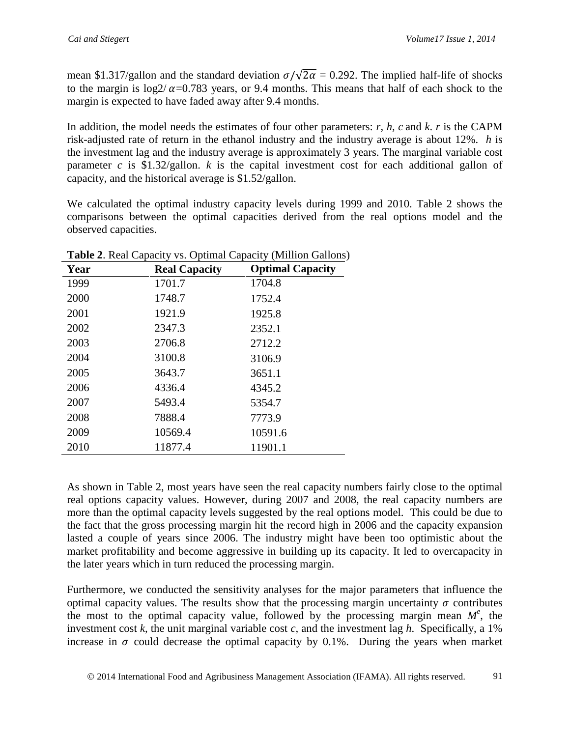mean \$1.317/gallon and the standard deviation  $\sigma/\sqrt{2\alpha} = 0.292$ . The implied half-life of shocks to the margin is  $\log 2/\alpha = 0.783$  years, or 9.4 months. This means that half of each shock to the margin is expected to have faded away after 9.4 months.

In addition, the model needs the estimates of four other parameters: *r, h, c* and *k*. *r* is the CAPM risk-adjusted rate of return in the ethanol industry and the industry average is about 12%. *h* is the investment lag and the industry average is approximately 3 years. The marginal variable cost parameter *c* is \$1.32/gallon. *k* is the capital investment cost for each additional gallon of capacity, and the historical average is \$1.52/gallon.

We calculated the optimal industry capacity levels during 1999 and 2010. Table 2 shows the comparisons between the optimal capacities derived from the real options model and the observed capacities.

| $\cdots$ |                      |                         |  |  |  |  |
|----------|----------------------|-------------------------|--|--|--|--|
| Year     | <b>Real Capacity</b> | <b>Optimal Capacity</b> |  |  |  |  |
| 1999     | 1701.7               | 1704.8                  |  |  |  |  |
| 2000     | 1748.7               | 1752.4                  |  |  |  |  |
| 2001     | 1921.9               | 1925.8                  |  |  |  |  |
| 2002     | 2347.3               | 2352.1                  |  |  |  |  |
| 2003     | 2706.8               | 2712.2                  |  |  |  |  |
| 2004     | 3100.8               | 3106.9                  |  |  |  |  |
| 2005     | 3643.7               | 3651.1                  |  |  |  |  |
| 2006     | 4336.4               | 4345.2                  |  |  |  |  |
| 2007     | 5493.4               | 5354.7                  |  |  |  |  |
| 2008     | 7888.4               | 7773.9                  |  |  |  |  |
| 2009     | 10569.4              | 10591.6                 |  |  |  |  |
| 2010     | 11877.4              | 11901.1                 |  |  |  |  |

**Table 2**. Real Capacity vs. Optimal Capacity (Million Gallons)

As shown in Table 2, most years have seen the real capacity numbers fairly close to the optimal real options capacity values. However, during 2007 and 2008, the real capacity numbers are more than the optimal capacity levels suggested by the real options model. This could be due to the fact that the gross processing margin hit the record high in 2006 and the capacity expansion lasted a couple of years since 2006. The industry might have been too optimistic about the market profitability and become aggressive in building up its capacity. It led to overcapacity in the later years which in turn reduced the processing margin.

Furthermore, we conducted the sensitivity analyses for the major parameters that influence the optimal capacity values. The results show that the processing margin uncertainty  $\sigma$  contributes the most to the optimal capacity value, followed by the processing margin mean  $M^e$ , the investment cost  $k$ , the unit marginal variable cost  $c$ , and the investment lag  $h$ . Specifically, a 1% increase in  $\sigma$  could decrease the optimal capacity by 0.1%. During the years when market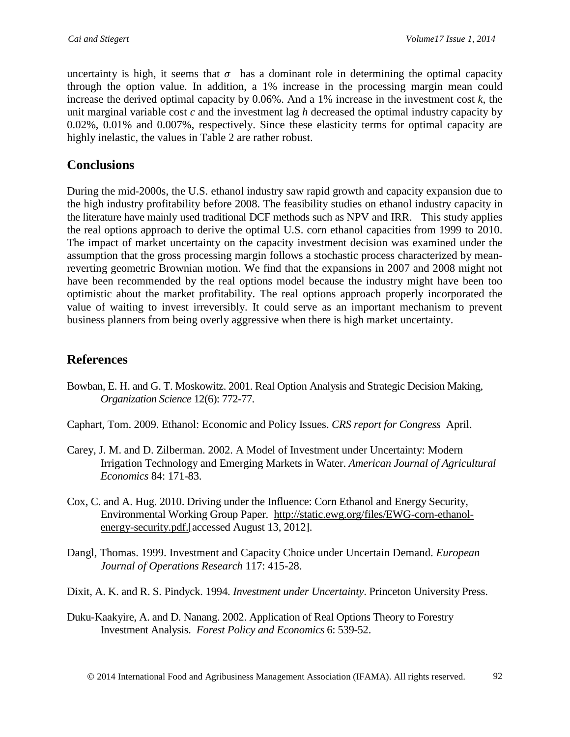uncertainty is high, it seems that  $\sigma$  has a dominant role in determining the optimal capacity through the option value. In addition, a 1% increase in the processing margin mean could increase the derived optimal capacity by  $0.06\%$ . And a 1% increase in the investment cost  $k$ , the unit marginal variable cost *c* and the investment lag *h* decreased the optimal industry capacity by 0.02%, 0.01% and 0.007%, respectively. Since these elasticity terms for optimal capacity are highly inelastic, the values in Table 2 are rather robust.

## **Conclusions**

During the mid-2000s, the U.S. ethanol industry saw rapid growth and capacity expansion due to the high industry profitability before 2008. The feasibility studies on ethanol industry capacity in the literature have mainly used traditional DCF methods such as NPV and IRR. This study applies the real options approach to derive the optimal U.S. corn ethanol capacities from 1999 to 2010. The impact of market uncertainty on the capacity investment decision was examined under the assumption that the gross processing margin follows a stochastic process characterized by meanreverting geometric Brownian motion. We find that the expansions in 2007 and 2008 might not have been recommended by the real options model because the industry might have been too optimistic about the market profitability. The real options approach properly incorporated the value of waiting to invest irreversibly. It could serve as an important mechanism to prevent business planners from being overly aggressive when there is high market uncertainty.

# **References**

- Bowban, E. H. and G. T. Moskowitz. 2001. Real Option Analysis and Strategic Decision Making, *Organization Science* 12(6): 772-77.
- Caphart, Tom. 2009. Ethanol: Economic and Policy Issues. *CRS report for Congress* April.
- Carey, J. M. and D. Zilberman. 2002. A Model of Investment under Uncertainty: Modern Irrigation Technology and Emerging Markets in Water. *American Journal of Agricultural Economics* 84: 171-83.
- Cox, C. and A. Hug. 2010. Driving under the Influence: Corn Ethanol and Energy Security, Environmental Working Group Paper. [http://static.ewg.org/files/EWG-corn-ethanol](http://static.ewg.org/files/EWG-corn-ethanol-energy-security.pdf)[energy-security.pdf.](http://static.ewg.org/files/EWG-corn-ethanol-energy-security.pdf)[accessed August 13, 2012].
- Dangl, Thomas. 1999. Investment and Capacity Choice under Uncertain Demand. *European Journal of Operations Research* 117: 415-28.
- Dixit, A. K. and R. S. Pindyck. 1994. *Investment under Uncertainty*. Princeton University Press.
- Duku-Kaakyire, A. and D. Nanang. 2002. Application of Real Options Theory to Forestry Investment Analysis. *Forest Policy and Economics* 6: 539-52.